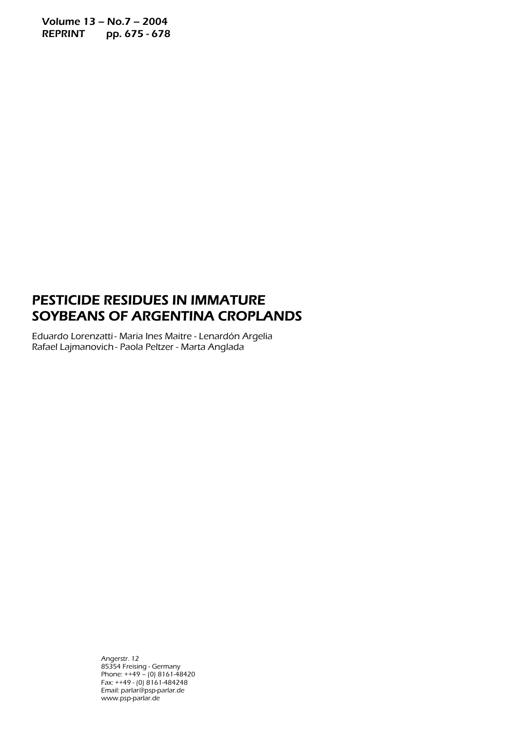Volume 13 – No.7 – 2004 REPRINT pp. 675 - 678

## PESTICIDE RESIDUES IN IMMATURE SOYBEANS OF ARGENTINA CROPLANDS

Eduardo Lorenzatti - Maria Ines Maitre - Lenardón Argelia Rafael Lajmanovich - Paola Peltzer - Marta Anglada

> Angerstr. 12 85354 Freising - Germany Phone: ++49 – (0) 8161-48420 Fax: ++49 - (0) 8161-484248 Email: parlar@psp-parlar.de www.psp-parlar.de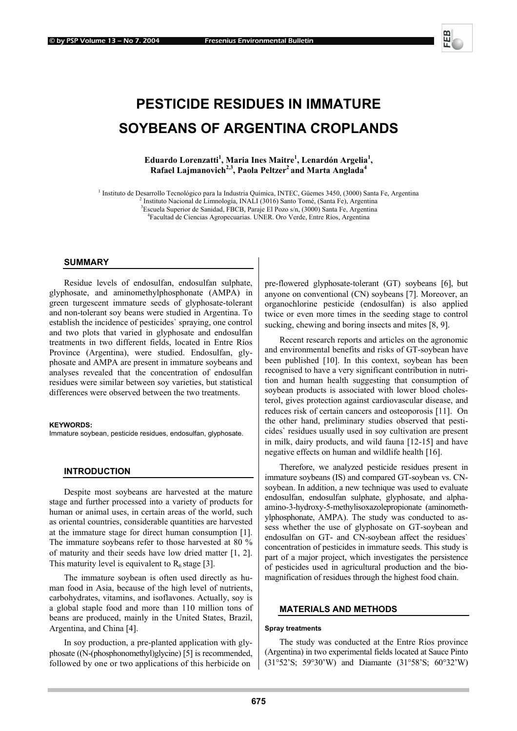# **PESTICIDE RESIDUES IN IMMATURE SOYBEANS OF ARGENTINA CROPLANDS**

Eduardo Lorenzatti<sup>1</sup>, Maria Ines Maitre<sup>1</sup>, Lenardón Argelia<sup>1</sup>, Rafael Lajmanovich<sup>2,3</sup>, Paola Peltzer<sup>2</sup> and Marta Anglada<sup>4</sup>

<sup>1</sup> Instituto de Desarrollo Tecnológico para la Industria Química, INTEC, Güemes 3450, (3000) Santa Fe, Argentina<br><sup>2</sup> Instituto Negional de Limpelagía, INALI (2016) Santa Tamá (Santa Fe), Argentina

Instituto Nacional de Limnología, INALI (3016) Santo Tomé, (Santa Fe), Argentina 3Escuela Superior de Sanidad, FBCB, Paraje El Pozo s/n, (3000) Santa Fe, Argentina 4

Facultad de Ciencias Agropecuarias. UNER. Oro Verde, Entre Ríos, Argentina

#### **SUMMARY**

Residue levels of endosulfan, endosulfan sulphate, glyphosate, and aminomethylphosphonate (AMPA) in green turgescent immature seeds of glyphosate-tolerant and non-tolerant soy beans were studied in Argentina. To establish the incidence of pesticides` spraying, one control and two plots that varied in glyphosate and endosulfan treatments in two different fields, located in Entre Ríos Province (Argentina), were studied. Endosulfan, glyphosate and AMPA are present in immature soybeans and analyses revealed that the concentration of endosulfan residues were similar between soy varieties, but statistical differences were observed between the two treatments.

#### **KEYWORDS:**

Immature soybean, pesticide residues, endosulfan, glyphosate.

#### **INTRODUCTION**

Despite most soybeans are harvested at the mature stage and further processed into a variety of products for human or animal uses, in certain areas of the world, such as oriental countries, considerable quantities are harvested at the immature stage for direct human consumption [1]. The immature soybeans refer to those harvested at 80 % of maturity and their seeds have low dried matter [1, 2]. This maturity level is equivalent to  $R_6$  stage [3].

The immature soybean is often used directly as human food in Asia, because of the high level of nutrients, carbohydrates, vitamins, and isoflavones. Actually, soy is a global staple food and more than 110 million tons of beans are produced, mainly in the United States, Brazil, Argentina, and China [4].

In soy production, a pre-planted application with glyphosate ((N-(phosphonomethyl)glycine) [5] is recommended, followed by one or two applications of this herbicide on

pre-flowered glyphosate-tolerant (GT) soybeans [6], but anyone on conventional (CN) soybeans [7]. Moreover, an organochlorine pesticide (endosulfan) is also applied twice or even more times in the seeding stage to control sucking, chewing and boring insects and mites [8, 9].

Recent research reports and articles on the agronomic and environmental benefits and risks of GT-soybean have been published [10]. In this context, soybean has been recognised to have a very significant contribution in nutrition and human health suggesting that consumption of soybean products is associated with lower blood cholesterol, gives protection against cardiovascular disease, and reduces risk of certain cancers and osteoporosis [11]. On the other hand, preliminary studies observed that pesticides` residues usually used in soy cultivation are present in milk, dairy products, and wild fauna [12-15] and have negative effects on human and wildlife health [16].

Therefore, we analyzed pesticide residues present in immature soybeans (IS) and compared GT-soybean vs. CNsoybean. In addition, a new technique was used to evaluate endosulfan, endosulfan sulphate, glyphosate, and alphaamino-3-hydroxy-5-methylisoxazolepropionate (aminomethylphosphonate, AMPA). The study was conducted to assess whether the use of glyphosate on GT-soybean and endosulfan on GT- and CN-soybean affect the residues` concentration of pesticides in immature seeds. This study is part of a major project, which investigates the persistence of pesticides used in agricultural production and the biomagnification of residues through the highest food chain.

#### **MATERIALS AND METHODS**

#### **Spray treatments**

The study was conducted at the Entre Ríos province (Argentina) in two experimental fields located at Sauce Pinto (31°52'S; 59°30'W) and Diamante (31°58'S; 60°32'W)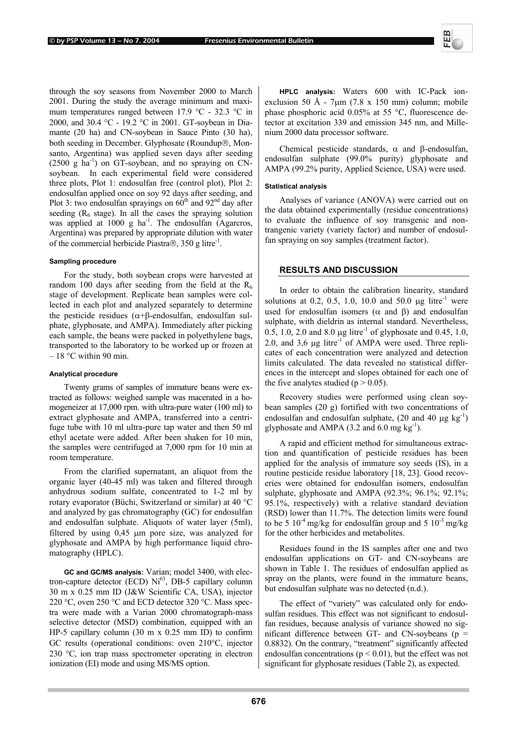through the soy seasons from November 2000 to March 2001. During the study the average minimum and maximum temperatures ranged between 17.9 °C - 32.3 °C in 2000, and 30.4 °C - 19.2 °C in 2001. GT-soybean in Diamante (20 ha) and CN-soybean in Sauce Pinto (30 ha), both seeding in December. Glyphosate (Roundup®, Monsanto, Argentina) was applied seven days after seeding  $(2500 \text{ g ha}^{-1})$  on GT-soybean, and no spraying on CNsoybean. In each experimental field were considered three plots, Plot 1: endosulfan free (control plot), Plot 2: endosulfan applied once on soy 92 days after seeding, and Plot 3: two endosulfan sprayings on  $60<sup>th</sup>$  and  $92<sup>nd</sup>$  day after seeding  $(R_6 \text{ stage})$ . In all the cases the spraying solution was applied at 1000 g ha<sup>-1</sup>. The endosulfan (Agarcros, Argentina) was prepared by appropriate dilution with water of the commercial herbicide Piastra $\circledR$ , 350 g litre<sup>-1</sup>.

#### **Sampling procedure**

For the study, both soybean crops were harvested at random 100 days after seeding from the field at the  $R_6$ stage of development. Replicate bean samples were collected in each plot and analyzed separately to determine the pesticide residues ( $α+β$ -endosulfan, endosulfan sulphate, glyphosate, and AMPA). Immediately after picking each sample, the beans were packed in polyethylene bags, transported to the laboratory to be worked up or frozen at  $-18$  °C within 90 min.

#### **Analytical procedure**

Twenty grams of samples of immature beans were extracted as follows: weighed sample was macerated in a homogeneizer at 17,000 rpm. with ultra-pure water (100 ml) to extract glyphosate and AMPA, transferred into a centrifuge tube with 10 ml ultra-pure tap water and then 50 ml ethyl acetate were added. After been shaken for 10 min, the samples were centrifuged at 7,000 rpm for 10 min at room temperature.

From the clarified supernatant, an aliquot from the organic layer (40-45 ml) was taken and filtered through anhydrous sodium sulfate, concentrated to 1-2 ml by rotary evaporator (Büchi, Switzerland or similar) at 40 °C and analyzed by gas chromatography (GC) for endosulfan and endosulfan sulphate. Aliquots of water layer (5ml), filtered by using 0,45 µm pore size, was analyzed for glyphosate and AMPA by high performance liquid chromatography (HPLC).

**GC and GC/MS analysis:** Varian; model 3400, with electron-capture detector (ECD)  $Ni<sup>63</sup>$ , DB-5 capillary column 30 m x 0.25 mm ID (J&W Scientific CA, USA), injector 220 °C, oven 250 °C and ECD detector 320 °C. Mass spectra were made with a Varian 2000 chromatograph-mass selective detector (MSD) combination, equipped with an HP-5 capillary column (30 m x 0.25 mm ID) to confirm GC results (operational conditions: oven 210°C, injector 230 °C, ion trap mass spectrometer operating in electron ionization (EI) mode and using MS/MS option.

**HPLC analysis:** Waters 600 with IC-Pack ionexclusion 50 Å - 7 $\mu$ m (7.8 x 150 mm) column; mobile phase phosphoric acid 0.05% at 55 °C, fluorescence detector at excitation 339 and emission 345 nm, and Millenium 2000 data processor software.

Chemical pesticide standards,  $\alpha$  and β-endosulfan, endosulfan sulphate (99.0% purity) glyphosate and AMPA (99.2% purity, Applied Science, USA) were used.

#### **Statistical analysis**

Analyses of variance (ANOVA) were carried out on the data obtained experimentally (residue concentrations) to evaluate the influence of soy transgenic and nontrangenic variety (variety factor) and number of endosulfan spraying on soy samples (treatment factor).

### **RESULTS AND DISCUSSION**

In order to obtain the calibration linearity, standard solutions at 0.2, 0.5, 1.0, 10.0 and 50.0  $\mu$ g litre<sup>-1</sup> were used for endosulfan isomers ( $\alpha$  and  $\beta$ ) and endosulfan sulphate, with dieldrin as internal standard. Nevertheless, 0.5, 1.0, 2.0 and 8.0  $\mu$ g litre<sup>-1</sup> of glyphosate and 0.45, 1.0, 2.0, and 3,6  $\mu$ g litre<sup>-1</sup> of AMPA were used. Three replicates of each concentration were analyzed and detection limits calculated. The data revealed no statistical differences in the intercept and slopes obtained for each one of the five analytes studied ( $p > 0.05$ ).

Recovery studies were performed using clean soybean samples (20 g) fortified with two concentrations of endosulfan and endosulfan sulphate,  $(20 \text{ and } 40 \mu\text{g kg}^{-1})$ glyphosate and AMPA (3.2 and 6.0 mg  $kg^{-1}$ ).

A rapid and efficient method for simultaneous extraction and quantification of pesticide residues has been applied for the analysis of immature soy seeds (IS), in a routine pesticide residue laboratory [18, 23]. Good recoveries were obtained for endosulfan isomers, endosulfan sulphate, glyphosate and AMPA (92.3%; 96.1%; 92.1%; 95.1%, respectively) with a relative standard deviation (RSD) lower than 11.7%. The detection limits were found to be 5  $10^{-4}$  mg/kg for endosulfán group and 5  $10^{-3}$  mg/kg for the other herbicides and metabolites.

Residues found in the IS samples after one and two endosulfan applications on GT- and CN-soybeans are shown in Table 1. The residues of endosulfan applied as spray on the plants, were found in the immature beans, but endosulfan sulphate was no detected (n.d.).

The effect of "variety" was calculated only for endosulfan residues. This effect was not significant to endosulfan residues, because analysis of variance showed no significant difference between GT- and CN-soybeans ( $p =$ 0.8832). On the contrary, "treatment" significantly affected endosulfan concentrations ( $p < 0.01$ ), but the effect was not significant for glyphosate residues (Table 2), as expected.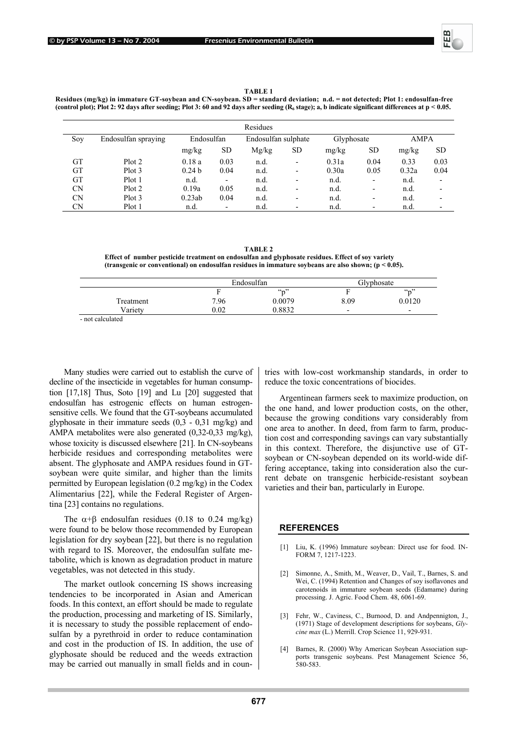

**TABLE 1** 

**Residues (mg/kg) in immature GT-soybean and CN-soybean. SD = standard deviation; n.d. = not detected; Plot 1: endosulfan-free**  (control plot); Plot 2: 92 days after seeding; Plot 3: 60 and 92 days after seeding  $(R_6 \text{ stage})$ ; a, b indicate significant differences at  $p < 0.05$ .

|           | Residues            |                   |                          |                     |                          |            |           |             |           |  |
|-----------|---------------------|-------------------|--------------------------|---------------------|--------------------------|------------|-----------|-------------|-----------|--|
| Soy       | Endosulfan spraying | Endosulfan        |                          | Endosulfan sulphate |                          | Glyphosate |           | <b>AMPA</b> |           |  |
|           |                     | mg/kg             | <b>SD</b>                | Mg/kg               | <b>SD</b>                | mg/kg      | <b>SD</b> | mg/kg       | <b>SD</b> |  |
| <b>GT</b> | Plot 2              | 0.18a             | 0.03                     | n.d.                | $\overline{\phantom{a}}$ | 0.31a      | 0.04      | 0.33        | 0.03      |  |
| GT        | Plot 3              | 0.24 <sub>b</sub> | 0.04                     | n.d.                | $\overline{\phantom{0}}$ | 0.30a      | 0.05      | 0.32a       | 0.04      |  |
| <b>GT</b> | Plot 1              | n.d.              | $\overline{\phantom{0}}$ | n.d.                | $\overline{\phantom{0}}$ | n.d.       | ٠         | n.d.        |           |  |
| <b>CN</b> | Plot 2              | 0.19a             | 0.05                     | n.d.                | ۰                        | n.d.       | -         | n.d.        |           |  |
| <b>CN</b> | Plot 3              | 0.23ab            | 0.04                     | n.d.                | $\overline{\phantom{0}}$ | n.d.       | ٠         | n.d.        |           |  |
| <b>CN</b> | Plot 1              | n.d.              | $\overline{\phantom{0}}$ | n.d.                |                          | n.d.       | -         | n.d.        |           |  |

**TABLE 2 Effect of number pesticide treatment on endosulfan and glyphosate residues. Effect of soy variety (transgenic or conventional) on endosulfan residues in immature soybeans are also shown; (p < 0.05).** 

| Endosulfan |        | Glyphosate               |        |  |
|------------|--------|--------------------------|--------|--|
|            | (4, 2) |                          | (4n)   |  |
| 7.96       | 0.0079 | 8.09                     | 0.0120 |  |
| $0.02\,$   | 0.8832 | $\overline{\phantom{0}}$ | -      |  |
|            |        |                          |        |  |

- not calculated

Many studies were carried out to establish the curve of decline of the insecticide in vegetables for human consumption [17,18] Thus, Soto [19] and Lu [20] suggested that endosulfan has estrogenic effects on human estrogensensitive cells. We found that the GT-soybeans accumulated glyphosate in their immature seeds (0,3 - 0,31 mg/kg) and AMPA metabolites were also generated (0,32-0,33 mg/kg), whose toxicity is discussed elsewhere [21]. In CN-soybeans herbicide residues and corresponding metabolites were absent. The glyphosate and AMPA residues found in GTsoybean were quite similar, and higher than the limits permitted by European legislation (0.2 mg/kg) in the Codex Alimentarius [22], while the Federal Register of Argentina [23] contains no regulations.

The  $\alpha$ +B endosulfan residues (0.18 to 0.24 mg/kg) were found to be below those recommended by European legislation for dry soybean [22], but there is no regulation with regard to IS. Moreover, the endosulfan sulfate metabolite, which is known as degradation product in mature vegetables, was not detected in this study.

The market outlook concerning IS shows increasing tendencies to be incorporated in Asian and American foods. In this context, an effort should be made to regulate the production, processing and marketing of IS. Similarly, it is necessary to study the possible replacement of endosulfan by a pyrethroid in order to reduce contamination and cost in the production of IS. In addition, the use of glyphosate should be reduced and the weeds extraction may be carried out manually in small fields and in coun-

tries with low-cost workmanship standards, in order to reduce the toxic concentrations of biocides.

Argentinean farmers seek to maximize production, on the one hand, and lower production costs, on the other, because the growing conditions vary considerably from one area to another. In deed, from farm to farm, production cost and corresponding savings can vary substantially in this context. Therefore, the disjunctive use of GTsoybean or CN-soybean depended on its world-wide differing acceptance, taking into consideration also the current debate on transgenic herbicide-resistant soybean varieties and their ban, particularly in Europe.

#### **REFERENCES**

- [1] Liu, K. (1996) Immature soybean: Direct use for food. IN-FORM 7, 1217-1223.
- [2] Simonne, A., Smith, M., Weaver, D., Vail, T., Barnes, S. and Wei, C. (1994) Retention and Changes of soy isoflavones and carotenoids in immature soybean seeds (Edamame) during processing. J. Agric. Food Chem. 48, 6061-69.
- [3] Fehr, W., Caviness, C., Burnood, D. and Andpennigton, J., (1971) Stage of development descriptions for soybeans, *Glycine max* (L.) Merrill. Crop Science 11, 929-931.
- [4] Barnes, R. (2000) Why American Soybean Association supports transgenic soybeans. Pest Management Science 56, 580-583.